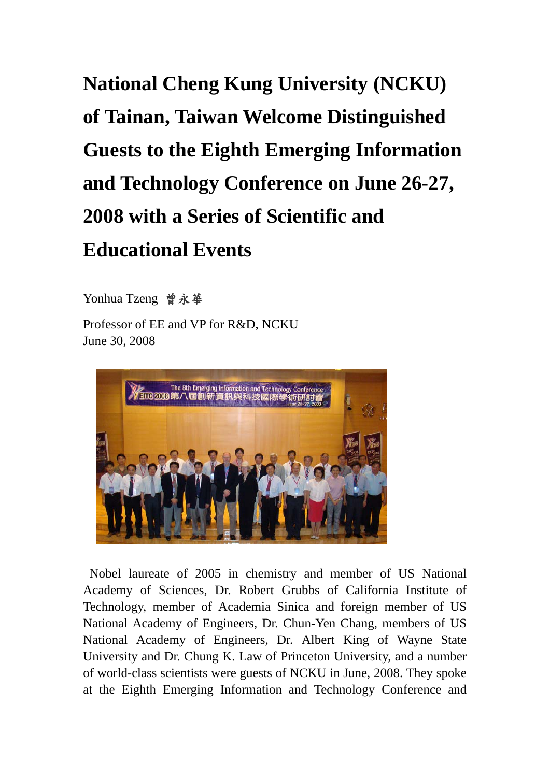## **National Cheng Kung University (NCKU) of Tainan, Taiwan Welcome Distinguished Guests to the Eighth Emerging Information and Technology Conference on June 26-27, 2008 with a Series of Scientific and Educational Events**

Yonhua Tzeng 曾永華

Professor of EE and VP for R&D, NCKU June 30, 2008



 Nobel laureate of 2005 in chemistry and member of US National Academy of Sciences, Dr. Robert Grubbs of California Institute of Technology, member of Academia Sinica and foreign member of US National Academy of Engineers, Dr. Chun-Yen Chang, members of US National Academy of Engineers, Dr. Albert King of Wayne State University and Dr. Chung K. Law of Princeton University, and a number of world-class scientists were guests of NCKU in June, 2008. They spoke at the Eighth Emerging Information and Technology Conference and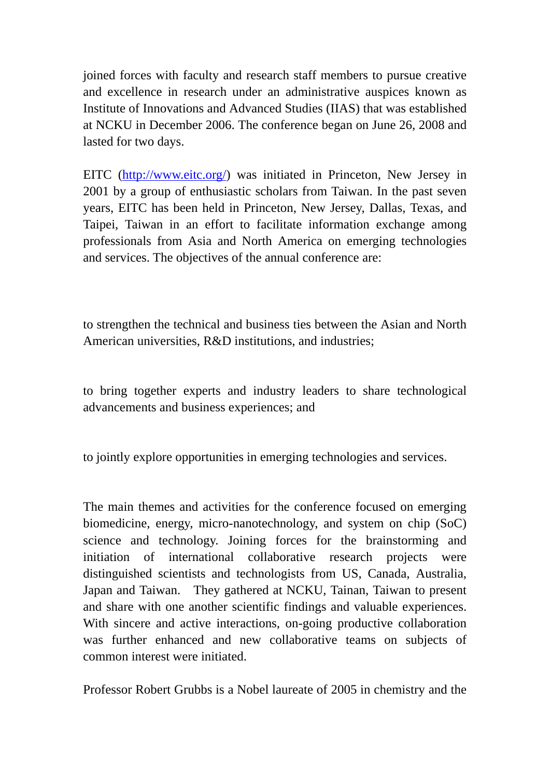joined forces with faculty and research staff members to pursue creative and excellence in research under an administrative auspices known as Institute of Innovations and Advanced Studies (IIAS) that was established at NCKU in December 2006. The conference began on June 26, 2008 and lasted for two days.

EITC (http://www.eitc.org/) was initiated in Princeton, New Jersey in 2001 by a group of enthusiastic scholars from Taiwan. In the past seven years, EITC has been held in Princeton, New Jersey, Dallas, Texas, and Taipei, Taiwan in an effort to facilitate information exchange among professionals from Asia and North America on emerging technologies and services. The objectives of the annual conference are:

to strengthen the technical and business ties between the Asian and North American universities, R&D institutions, and industries;

to bring together experts and industry leaders to share technological advancements and business experiences; and

to jointly explore opportunities in emerging technologies and services.

The main themes and activities for the conference focused on emerging biomedicine, energy, micro-nanotechnology, and system on chip (SoC) science and technology. Joining forces for the brainstorming and initiation of international collaborative research projects were distinguished scientists and technologists from US, Canada, Australia, Japan and Taiwan. They gathered at NCKU, Tainan, Taiwan to present and share with one another scientific findings and valuable experiences. With sincere and active interactions, on-going productive collaboration was further enhanced and new collaborative teams on subjects of common interest were initiated.

Professor Robert Grubbs is a Nobel laureate of 2005 in chemistry and the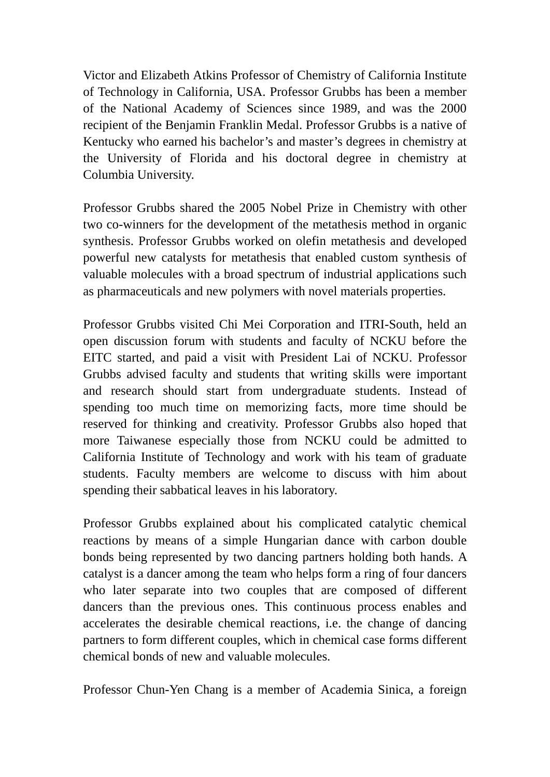Victor and Elizabeth Atkins Professor of Chemistry of California Institute of Technology in California, USA. Professor Grubbs has been a member of the National Academy of Sciences since 1989, and was the 2000 recipient of the Benjamin Franklin Medal. Professor Grubbs is a native of Kentucky who earned his bachelor's and master's degrees in chemistry at the University of Florida and his doctoral degree in chemistry at Columbia University.

Professor Grubbs shared the 2005 Nobel Prize in Chemistry with other two co-winners for the development of the metathesis method in organic synthesis. Professor Grubbs worked on olefin metathesis and developed powerful new catalysts for metathesis that enabled custom synthesis of valuable molecules with a broad spectrum of industrial applications such as pharmaceuticals and new polymers with novel materials properties.

Professor Grubbs visited Chi Mei Corporation and ITRI-South, held an open discussion forum with students and faculty of NCKU before the EITC started, and paid a visit with President Lai of NCKU. Professor Grubbs advised faculty and students that writing skills were important and research should start from undergraduate students. Instead of spending too much time on memorizing facts, more time should be reserved for thinking and creativity. Professor Grubbs also hoped that more Taiwanese especially those from NCKU could be admitted to California Institute of Technology and work with his team of graduate students. Faculty members are welcome to discuss with him about spending their sabbatical leaves in his laboratory.

Professor Grubbs explained about his complicated catalytic chemical reactions by means of a simple Hungarian dance with carbon double bonds being represented by two dancing partners holding both hands. A catalyst is a dancer among the team who helps form a ring of four dancers who later separate into two couples that are composed of different dancers than the previous ones. This continuous process enables and accelerates the desirable chemical reactions, i.e. the change of dancing partners to form different couples, which in chemical case forms different chemical bonds of new and valuable molecules.

Professor Chun-Yen Chang is a member of Academia Sinica, a foreign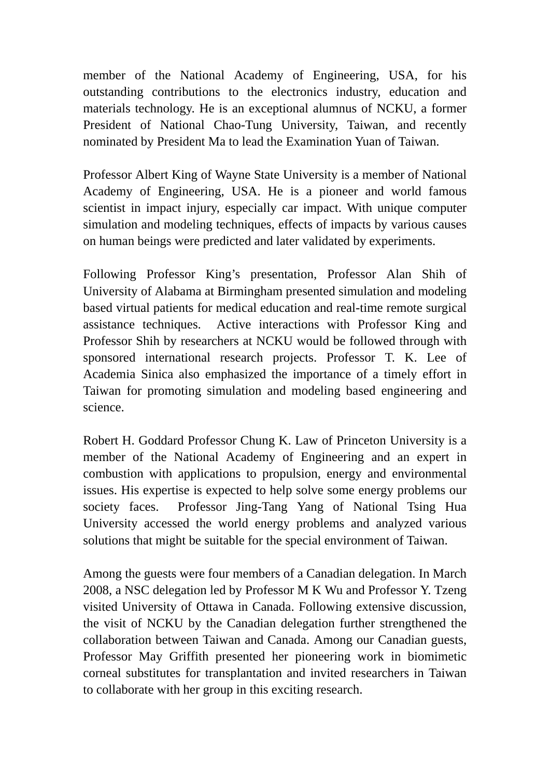member of the National Academy of Engineering, USA, for his outstanding contributions to the electronics industry, education and materials technology. He is an exceptional alumnus of NCKU, a former President of National Chao-Tung University, Taiwan, and recently nominated by President Ma to lead the Examination Yuan of Taiwan.

Professor Albert King of Wayne State University is a member of National Academy of Engineering, USA. He is a pioneer and world famous scientist in impact injury, especially car impact. With unique computer simulation and modeling techniques, effects of impacts by various causes on human beings were predicted and later validated by experiments.

Following Professor King's presentation, Professor Alan Shih of University of Alabama at Birmingham presented simulation and modeling based virtual patients for medical education and real-time remote surgical assistance techniques. Active interactions with Professor King and Professor Shih by researchers at NCKU would be followed through with sponsored international research projects. Professor T. K. Lee of Academia Sinica also emphasized the importance of a timely effort in Taiwan for promoting simulation and modeling based engineering and science.

Robert H. Goddard Professor Chung K. Law of Princeton University is a member of the National Academy of Engineering and an expert in combustion with applications to propulsion, energy and environmental issues. His expertise is expected to help solve some energy problems our society faces. Professor Jing-Tang Yang of National Tsing Hua University accessed the world energy problems and analyzed various solutions that might be suitable for the special environment of Taiwan.

Among the guests were four members of a Canadian delegation. In March 2008, a NSC delegation led by Professor M K Wu and Professor Y. Tzeng visited University of Ottawa in Canada. Following extensive discussion, the visit of NCKU by the Canadian delegation further strengthened the collaboration between Taiwan and Canada. Among our Canadian guests, Professor May Griffith presented her pioneering work in biomimetic corneal substitutes for transplantation and invited researchers in Taiwan to collaborate with her group in this exciting research.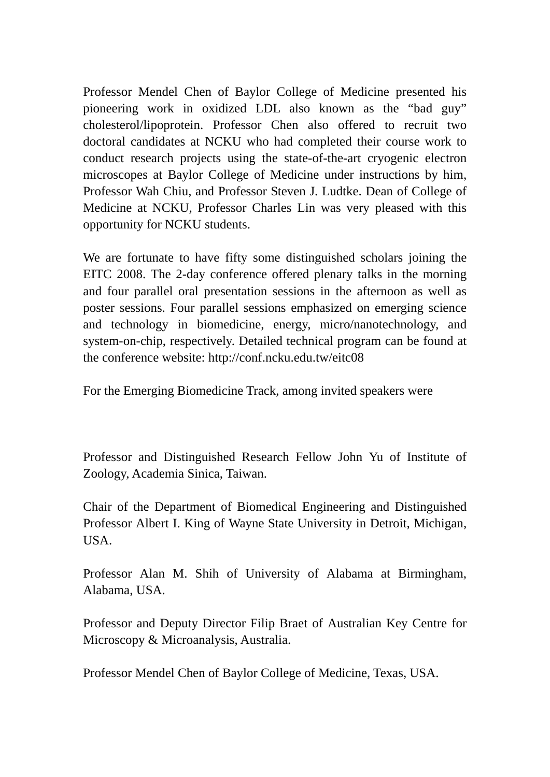Professor Mendel Chen of Baylor College of Medicine presented his pioneering work in oxidized LDL also known as the "bad guy" cholesterol/lipoprotein. Professor Chen also offered to recruit two doctoral candidates at NCKU who had completed their course work to conduct research projects using the state-of-the-art cryogenic electron microscopes at Baylor College of Medicine under instructions by him, Professor Wah Chiu, and Professor Steven J. Ludtke. Dean of College of Medicine at NCKU, Professor Charles Lin was very pleased with this opportunity for NCKU students.

We are fortunate to have fifty some distinguished scholars joining the EITC 2008. The 2-day conference offered plenary talks in the morning and four parallel oral presentation sessions in the afternoon as well as poster sessions. Four parallel sessions emphasized on emerging science and technology in biomedicine, energy, micro/nanotechnology, and system-on-chip, respectively. Detailed technical program can be found at the conference website: http://conf.ncku.edu.tw/eitc08

For the Emerging Biomedicine Track, among invited speakers were

Professor and Distinguished Research Fellow John Yu of Institute of Zoology, Academia Sinica, Taiwan.

Chair of the Department of Biomedical Engineering and Distinguished Professor Albert I. King of Wayne State University in Detroit, Michigan, USA.

Professor Alan M. Shih of University of Alabama at Birmingham, Alabama, USA.

Professor and Deputy Director Filip Braet of Australian Key Centre for Microscopy & Microanalysis, Australia.

Professor Mendel Chen of Baylor College of Medicine, Texas, USA.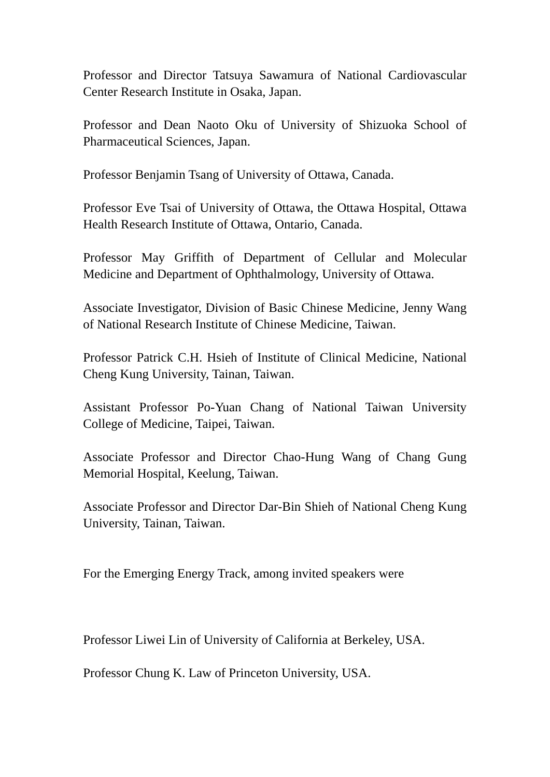Professor and Director Tatsuya Sawamura of National Cardiovascular Center Research Institute in Osaka, Japan.

Professor and Dean Naoto Oku of University of Shizuoka School of Pharmaceutical Sciences, Japan.

Professor Benjamin Tsang of University of Ottawa, Canada.

Professor Eve Tsai of University of Ottawa, the Ottawa Hospital, Ottawa Health Research Institute of Ottawa, Ontario, Canada.

Professor May Griffith of Department of Cellular and Molecular Medicine and Department of Ophthalmology, University of Ottawa.

Associate Investigator, Division of Basic Chinese Medicine, Jenny Wang of National Research Institute of Chinese Medicine, Taiwan.

Professor Patrick C.H. Hsieh of Institute of Clinical Medicine, National Cheng Kung University, Tainan, Taiwan.

Assistant Professor Po-Yuan Chang of National Taiwan University College of Medicine, Taipei, Taiwan.

Associate Professor and Director Chao-Hung Wang of Chang Gung Memorial Hospital, Keelung, Taiwan.

Associate Professor and Director Dar-Bin Shieh of National Cheng Kung University, Tainan, Taiwan.

For the Emerging Energy Track, among invited speakers were

Professor Liwei Lin of University of California at Berkeley, USA.

Professor Chung K. Law of Princeton University, USA.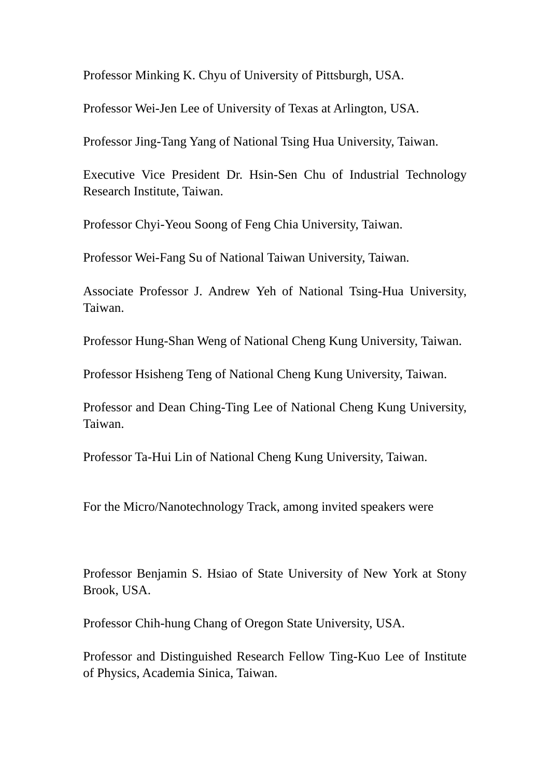Professor Minking K. Chyu of University of Pittsburgh, USA.

Professor Wei-Jen Lee of University of Texas at Arlington, USA.

Professor Jing-Tang Yang of National Tsing Hua University, Taiwan.

Executive Vice President Dr. Hsin-Sen Chu of Industrial Technology Research Institute, Taiwan.

Professor Chyi-Yeou Soong of Feng Chia University, Taiwan.

Professor Wei-Fang Su of National Taiwan University, Taiwan.

Associate Professor J. Andrew Yeh of National Tsing-Hua University, Taiwan.

Professor Hung-Shan Weng of National Cheng Kung University, Taiwan.

Professor Hsisheng Teng of National Cheng Kung University, Taiwan.

Professor and Dean Ching-Ting Lee of National Cheng Kung University, Taiwan.

Professor Ta-Hui Lin of National Cheng Kung University, Taiwan.

For the Micro/Nanotechnology Track, among invited speakers were

Professor Benjamin S. Hsiao of State University of New York at Stony Brook, USA.

Professor Chih-hung Chang of Oregon State University, USA.

Professor and Distinguished Research Fellow Ting-Kuo Lee of Institute of Physics, Academia Sinica, Taiwan.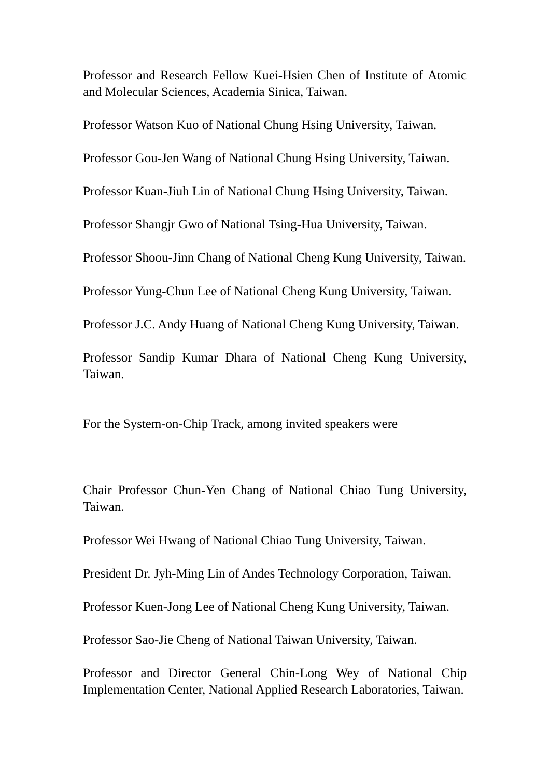Professor and Research Fellow Kuei-Hsien Chen of Institute of Atomic and Molecular Sciences, Academia Sinica, Taiwan.

Professor Watson Kuo of National Chung Hsing University, Taiwan.

Professor Gou-Jen Wang of National Chung Hsing University, Taiwan.

Professor Kuan-Jiuh Lin of National Chung Hsing University, Taiwan.

Professor Shangjr Gwo of National Tsing-Hua University, Taiwan.

Professor Shoou-Jinn Chang of National Cheng Kung University, Taiwan.

Professor Yung-Chun Lee of National Cheng Kung University, Taiwan.

Professor J.C. Andy Huang of National Cheng Kung University, Taiwan.

Professor Sandip Kumar Dhara of National Cheng Kung University, Taiwan.

For the System-on-Chip Track, among invited speakers were

Chair Professor Chun-Yen Chang of National Chiao Tung University, Taiwan.

Professor Wei Hwang of National Chiao Tung University, Taiwan.

President Dr. Jyh-Ming Lin of Andes Technology Corporation, Taiwan.

Professor Kuen-Jong Lee of National Cheng Kung University, Taiwan.

Professor Sao-Jie Cheng of National Taiwan University, Taiwan.

Professor and Director General Chin-Long Wey of National Chip Implementation Center, National Applied Research Laboratories, Taiwan.